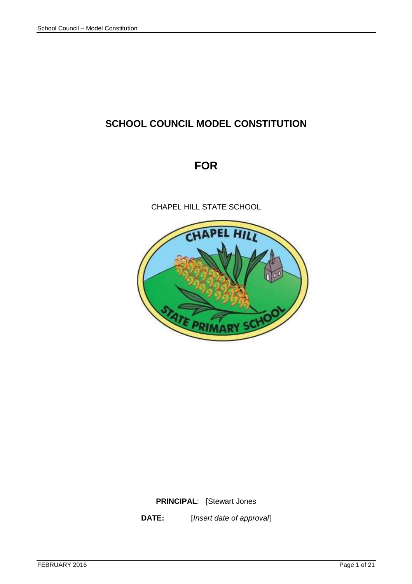# **SCHOOL COUNCIL MODEL CONSTITUTION**

# **FOR**

CHAPEL HILL STATE SCHOOL



**PRINCIPAL**: [Stewart Jones

**DATE:** [Insert date of approval]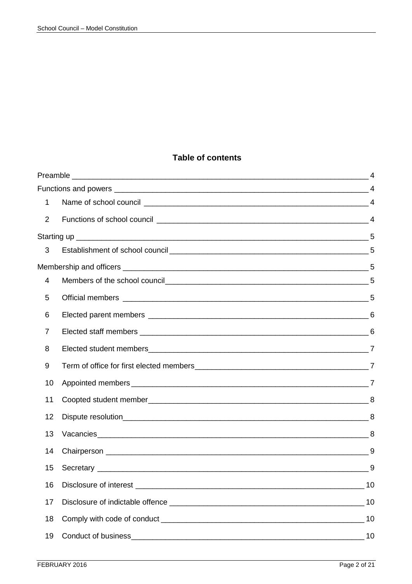# **Table of contents**

| 1              |    |
|----------------|----|
| $\overline{2}$ |    |
|                |    |
| 3              |    |
|                |    |
| 4              |    |
| 5              |    |
| 6              |    |
| 7              |    |
| 8              |    |
| 9              |    |
| 10             |    |
| 11             |    |
| 12             |    |
| 13             |    |
| 14             |    |
| 15             |    |
| 16             | 10 |
| 17             | 10 |
| 18             | 10 |
| 19             | 10 |
|                |    |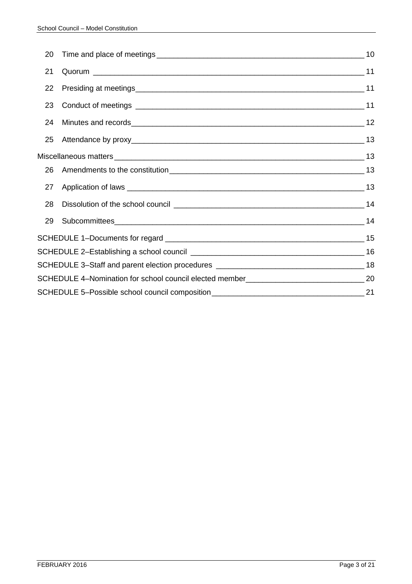| 20 |  |
|----|--|
| 21 |  |
| 22 |  |
| 23 |  |
| 24 |  |
| 25 |  |
|    |  |
| 26 |  |
| 27 |  |
| 28 |  |
| 29 |  |
|    |  |
|    |  |
|    |  |
|    |  |
|    |  |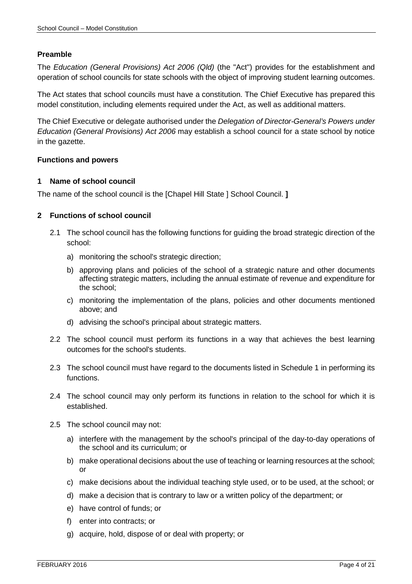#### **Preamble**

The Education (General Provisions) Act 2006 (Qld) (the "Act") provides for the establishment and operation of school councils for state schools with the object of improving student learning outcomes.

The Act states that school councils must have a constitution. The Chief Executive has prepared this model constitution, including elements required under the Act, as well as additional matters.

The Chief Executive or delegate authorised under the Delegation of Director-General's Powers under Education (General Provisions) Act 2006 may establish a school council for a state school by notice in the gazette.

#### **Functions and powers**

#### **1 Name of school council**

The name of the school council is the [Chapel Hill State ] School Council. **]**

#### **2 Functions of school council**

- 2.1 The school council has the following functions for guiding the broad strategic direction of the school:
	- a) monitoring the school's strategic direction;
	- b) approving plans and policies of the school of a strategic nature and other documents affecting strategic matters, including the annual estimate of revenue and expenditure for the school;
	- c) monitoring the implementation of the plans, policies and other documents mentioned above; and
	- d) advising the school's principal about strategic matters.
- 2.2 The school council must perform its functions in a way that achieves the best learning outcomes for the school's students.
- 2.3 The school council must have regard to the documents listed in Schedule 1 in performing its functions.
- 2.4 The school council may only perform its functions in relation to the school for which it is established.
- 2.5 The school council may not:
	- a) interfere with the management by the school's principal of the day-to-day operations of the school and its curriculum; or
	- b) make operational decisions about the use of teaching or learning resources at the school; or
	- c) make decisions about the individual teaching style used, or to be used, at the school; or
	- d) make a decision that is contrary to law or a written policy of the department; or
	- e) have control of funds; or
	- f) enter into contracts; or
	- g) acquire, hold, dispose of or deal with property; or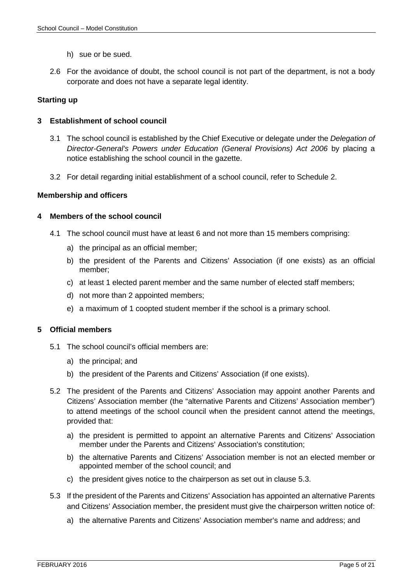- h) sue or be sued.
- 2.6 For the avoidance of doubt, the school council is not part of the department, is not a body corporate and does not have a separate legal identity.

# **Starting up**

# **3 Establishment of school council**

- 3.1 The school council is established by the Chief Executive or delegate under the Delegation of Director-General's Powers under Education (General Provisions) Act 2006 by placing a notice establishing the school council in the gazette.
- 3.2 For detail regarding initial establishment of a school council, refer to Schedule 2.

# **Membership and officers**

# **4 Members of the school council**

- 4.1 The school council must have at least 6 and not more than 15 members comprising:
	- a) the principal as an official member;
	- b) the president of the Parents and Citizens' Association (if one exists) as an official member;
	- c) at least 1 elected parent member and the same number of elected staff members;
	- d) not more than 2 appointed members;
	- e) a maximum of 1 coopted student member if the school is a primary school.

#### **5 Official members**

- 5.1 The school council's official members are:
	- a) the principal; and
	- b) the president of the Parents and Citizens' Association (if one exists).
- 5.2 The president of the Parents and Citizens' Association may appoint another Parents and Citizens' Association member (the "alternative Parents and Citizens' Association member") to attend meetings of the school council when the president cannot attend the meetings, provided that:
	- a) the president is permitted to appoint an alternative Parents and Citizens' Association member under the Parents and Citizens' Association's constitution;
	- b) the alternative Parents and Citizens' Association member is not an elected member or appointed member of the school council; and
	- c) the president gives notice to the chairperson as set out in clause 5.3.
- 5.3 If the president of the Parents and Citizens' Association has appointed an alternative Parents and Citizens' Association member, the president must give the chairperson written notice of:
	- a) the alternative Parents and Citizens' Association member's name and address; and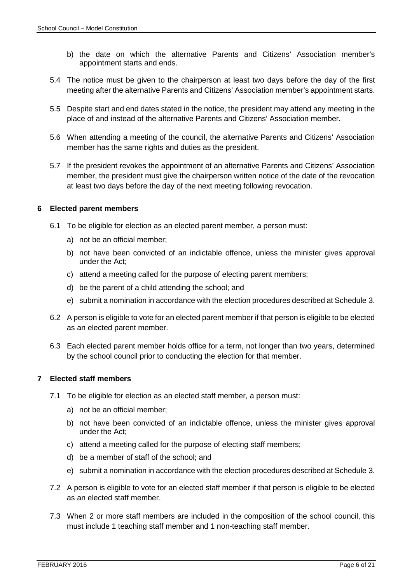- b) the date on which the alternative Parents and Citizens' Association member's appointment starts and ends.
- 5.4 The notice must be given to the chairperson at least two days before the day of the first meeting after the alternative Parents and Citizens' Association member's appointment starts.
- 5.5 Despite start and end dates stated in the notice, the president may attend any meeting in the place of and instead of the alternative Parents and Citizens' Association member.
- 5.6 When attending a meeting of the council, the alternative Parents and Citizens' Association member has the same rights and duties as the president.
- 5.7 If the president revokes the appointment of an alternative Parents and Citizens' Association member, the president must give the chairperson written notice of the date of the revocation at least two days before the day of the next meeting following revocation.

# **6 Elected parent members**

- 6.1 To be eligible for election as an elected parent member, a person must:
	- a) not be an official member;
	- b) not have been convicted of an indictable offence, unless the minister gives approval under the Act;
	- c) attend a meeting called for the purpose of electing parent members;
	- d) be the parent of a child attending the school; and
	- e) submit a nomination in accordance with the election procedures described at Schedule 3.
- 6.2 A person is eligible to vote for an elected parent member if that person is eligible to be elected as an elected parent member.
- 6.3 Each elected parent member holds office for a term, not longer than two years, determined by the school council prior to conducting the election for that member.

# **7 Elected staff members**

- 7.1 To be eligible for election as an elected staff member, a person must:
	- a) not be an official member;
	- b) not have been convicted of an indictable offence, unless the minister gives approval under the Act;
	- c) attend a meeting called for the purpose of electing staff members;
	- d) be a member of staff of the school; and
	- e) submit a nomination in accordance with the election procedures described at Schedule 3.
- 7.2 A person is eligible to vote for an elected staff member if that person is eligible to be elected as an elected staff member.
- 7.3 When 2 or more staff members are included in the composition of the school council, this must include 1 teaching staff member and 1 non-teaching staff member.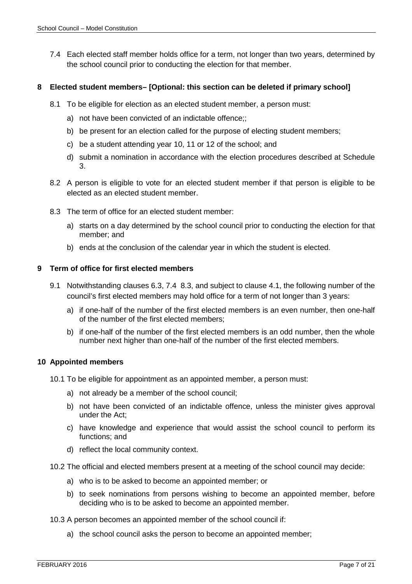7.4 Each elected staff member holds office for a term, not longer than two years, determined by the school council prior to conducting the election for that member.

#### **8 Elected student members– [Optional: this section can be deleted if primary school]**

- 8.1 To be eligible for election as an elected student member, a person must:
	- a) not have been convicted of an indictable offence;;
	- b) be present for an election called for the purpose of electing student members;
	- c) be a student attending year 10, 11 or 12 of the school; and
	- d) submit a nomination in accordance with the election procedures described at Schedule 3.
- 8.2 A person is eligible to vote for an elected student member if that person is eligible to be elected as an elected student member.
- 8.3 The term of office for an elected student member:
	- a) starts on a day determined by the school council prior to conducting the election for that member; and
	- b) ends at the conclusion of the calendar year in which the student is elected.

#### **9 Term of office for first elected members**

- 9.1 Notwithstanding clauses 6.3, 7.4 8.3, and subject to clause 4.1, the following number of the council's first elected members may hold office for a term of not longer than 3 years:
	- a) if one-half of the number of the first elected members is an even number, then one-half of the number of the first elected members;
	- b) if one-half of the number of the first elected members is an odd number, then the whole number next higher than one-half of the number of the first elected members.

#### **10 Appointed members**

- 10.1 To be eligible for appointment as an appointed member, a person must:
	- a) not already be a member of the school council;
	- b) not have been convicted of an indictable offence, unless the minister gives approval under the Act;
	- c) have knowledge and experience that would assist the school council to perform its functions; and
	- d) reflect the local community context.
- 10.2 The official and elected members present at a meeting of the school council may decide:
	- a) who is to be asked to become an appointed member; or
	- b) to seek nominations from persons wishing to become an appointed member, before deciding who is to be asked to become an appointed member.
- 10.3 A person becomes an appointed member of the school council if:
	- a) the school council asks the person to become an appointed member;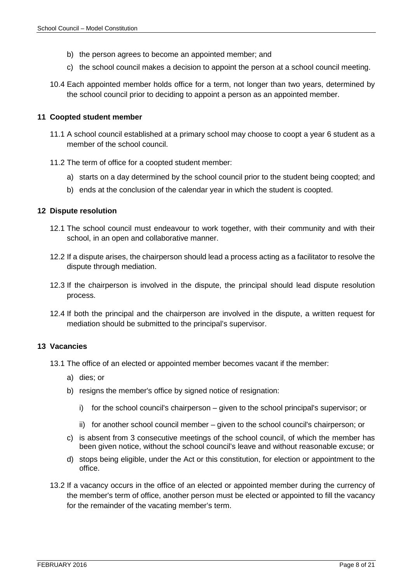- b) the person agrees to become an appointed member; and
- c) the school council makes a decision to appoint the person at a school council meeting.
- 10.4 Each appointed member holds office for a term, not longer than two years, determined by the school council prior to deciding to appoint a person as an appointed member.

#### **11 Coopted student member**

- 11.1 A school council established at a primary school may choose to coopt a year 6 student as a member of the school council.
- 11.2 The term of office for a coopted student member:
	- a) starts on a day determined by the school council prior to the student being coopted; and
	- b) ends at the conclusion of the calendar year in which the student is coopted.

#### **12 Dispute resolution**

- 12.1 The school council must endeavour to work together, with their community and with their school, in an open and collaborative manner.
- 12.2 If a dispute arises, the chairperson should lead a process acting as a facilitator to resolve the dispute through mediation.
- 12.3 If the chairperson is involved in the dispute, the principal should lead dispute resolution process.
- 12.4 If both the principal and the chairperson are involved in the dispute, a written request for mediation should be submitted to the principal's supervisor.

# **13 Vacancies**

- 13.1 The office of an elected or appointed member becomes vacant if the member:
	- a) dies; or
	- b) resigns the member's office by signed notice of resignation:
		- i) for the school council's chairperson given to the school principal's supervisor; or
		- ii) for another school council member given to the school council's chairperson; or
	- c) is absent from 3 consecutive meetings of the school council, of which the member has been given notice, without the school council's leave and without reasonable excuse; or
	- d) stops being eligible, under the Act or this constitution, for election or appointment to the office.
- 13.2 If a vacancy occurs in the office of an elected or appointed member during the currency of the member's term of office, another person must be elected or appointed to fill the vacancy for the remainder of the vacating member's term.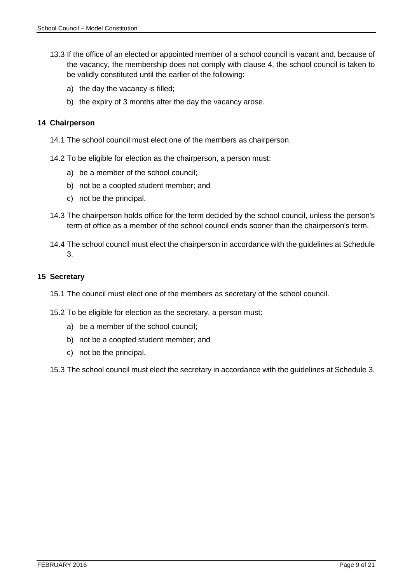- 13.3 If the office of an elected or appointed member of a school council is vacant and, because of the vacancy, the membership does not comply with clause 4, the school council is taken to be validly constituted until the earlier of the following:
	- a) the day the vacancy is filled;
	- b) the expiry of 3 months after the day the vacancy arose.

#### **14 Chairperson**

- 14.1 The school council must elect one of the members as chairperson.
- 14.2 To be eligible for election as the chairperson, a person must:
	- a) be a member of the school council;
	- b) not be a coopted student member; and
	- c) not be the principal.
- 14.3 The chairperson holds office for the term decided by the school council, unless the person's term of office as a member of the school council ends sooner than the chairperson's term.
- 14.4 The school council must elect the chairperson in accordance with the guidelines at Schedule 3.

#### **15 Secretary**

- 15.1 The council must elect one of the members as secretary of the school council.
- 15.2 To be eligible for election as the secretary, a person must:
	- a) be a member of the school council;
	- b) not be a coopted student member; and
	- c) not be the principal.

15.3 The school council must elect the secretary in accordance with the guidelines at Schedule 3.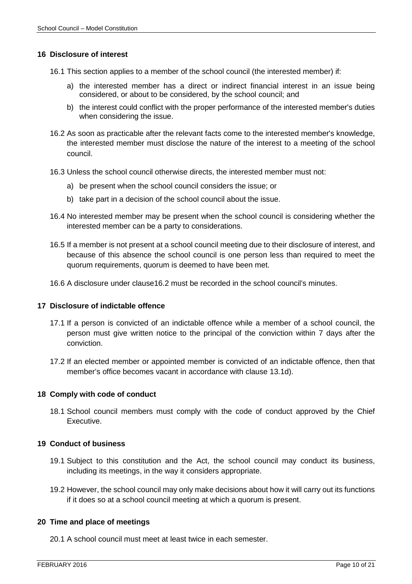#### **16 Disclosure of interest**

- 16.1 This section applies to a member of the school council (the interested member) if:
	- a) the interested member has a direct or indirect financial interest in an issue being considered, or about to be considered, by the school council; and
	- b) the interest could conflict with the proper performance of the interested member's duties when considering the issue.
- 16.2 As soon as practicable after the relevant facts come to the interested member's knowledge, the interested member must disclose the nature of the interest to a meeting of the school council.
- 16.3 Unless the school council otherwise directs, the interested member must not:
	- a) be present when the school council considers the issue; or
	- b) take part in a decision of the school council about the issue.
- 16.4 No interested member may be present when the school council is considering whether the interested member can be a party to considerations.
- 16.5 If a member is not present at a school council meeting due to their disclosure of interest, and because of this absence the school council is one person less than required to meet the quorum requirements, quorum is deemed to have been met.
- 16.6 A disclosure under clause16.2 must be recorded in the school council's minutes.

#### **17 Disclosure of indictable offence**

- 17.1 If a person is convicted of an indictable offence while a member of a school council, the person must give written notice to the principal of the conviction within 7 days after the conviction.
- 17.2 If an elected member or appointed member is convicted of an indictable offence, then that member's office becomes vacant in accordance with clause 13.1d).

#### **18 Comply with code of conduct**

18.1 School council members must comply with the code of conduct approved by the Chief Executive.

#### **19 Conduct of business**

- 19.1 Subject to this constitution and the Act, the school council may conduct its business, including its meetings, in the way it considers appropriate.
- 19.2 However, the school council may only make decisions about how it will carry out its functions if it does so at a school council meeting at which a quorum is present.

#### **20 Time and place of meetings**

20.1 A school council must meet at least twice in each semester.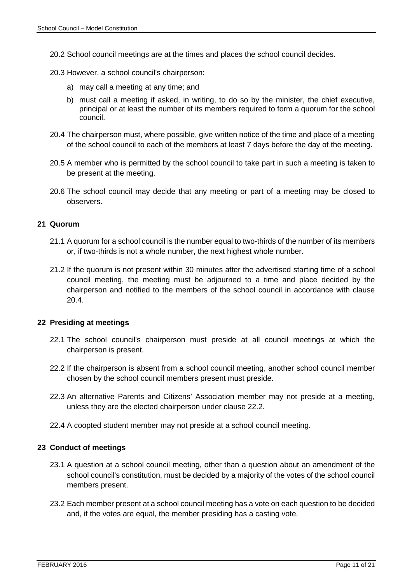- 20.2 School council meetings are at the times and places the school council decides.
- 20.3 However, a school council's chairperson:
	- a) may call a meeting at any time; and
	- b) must call a meeting if asked, in writing, to do so by the minister, the chief executive, principal or at least the number of its members required to form a quorum for the school council.
- 20.4 The chairperson must, where possible, give written notice of the time and place of a meeting of the school council to each of the members at least 7 days before the day of the meeting.
- 20.5 A member who is permitted by the school council to take part in such a meeting is taken to be present at the meeting.
- 20.6 The school council may decide that any meeting or part of a meeting may be closed to observers.

#### **21 Quorum**

- 21.1 A quorum for a school council is the number equal to two-thirds of the number of its members or, if two-thirds is not a whole number, the next highest whole number.
- 21.2 If the quorum is not present within 30 minutes after the advertised starting time of a school council meeting, the meeting must be adjourned to a time and place decided by the chairperson and notified to the members of the school council in accordance with clause 20.4.

#### **22 Presiding at meetings**

- 22.1 The school council's chairperson must preside at all council meetings at which the chairperson is present.
- 22.2 If the chairperson is absent from a school council meeting, another school council member chosen by the school council members present must preside.
- 22.3 An alternative Parents and Citizens' Association member may not preside at a meeting, unless they are the elected chairperson under clause 22.2.
- 22.4 A coopted student member may not preside at a school council meeting.

#### **23 Conduct of meetings**

- 23.1 A question at a school council meeting, other than a question about an amendment of the school council's constitution, must be decided by a majority of the votes of the school council members present.
- 23.2 Each member present at a school council meeting has a vote on each question to be decided and, if the votes are equal, the member presiding has a casting vote.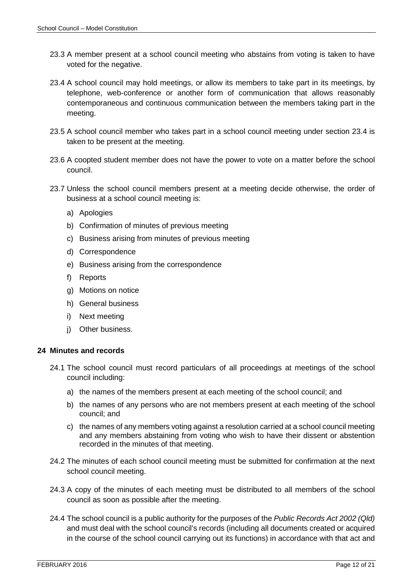- 23.3 A member present at a school council meeting who abstains from voting is taken to have voted for the negative.
- 23.4 A school council may hold meetings, or allow its members to take part in its meetings, by telephone, web-conference or another form of communication that allows reasonably contemporaneous and continuous communication between the members taking part in the meeting.
- 23.5 A school council member who takes part in a school council meeting under section 23.4 is taken to be present at the meeting.
- 23.6 A coopted student member does not have the power to vote on a matter before the school council.
- 23.7 Unless the school council members present at a meeting decide otherwise, the order of business at a school council meeting is:
	- a) Apologies
	- b) Confirmation of minutes of previous meeting
	- c) Business arising from minutes of previous meeting
	- d) Correspondence
	- e) Business arising from the correspondence
	- f) Reports
	- g) Motions on notice
	- h) General business
	- i) Next meeting
	- i) Other business.

#### **24 Minutes and records**

- 24.1 The school council must record particulars of all proceedings at meetings of the school council including:
	- a) the names of the members present at each meeting of the school council; and
	- b) the names of any persons who are not members present at each meeting of the school council; and
	- c) the names of any members voting against a resolution carried at a school council meeting and any members abstaining from voting who wish to have their dissent or abstention recorded in the minutes of that meeting.
- 24.2 The minutes of each school council meeting must be submitted for confirmation at the next school council meeting.
- 24.3 A copy of the minutes of each meeting must be distributed to all members of the school council as soon as possible after the meeting.
- 24.4 The school council is a public authority for the purposes of the Public Records Act 2002 (Qld) and must deal with the school council's records (including all documents created or acquired in the course of the school council carrying out its functions) in accordance with that act and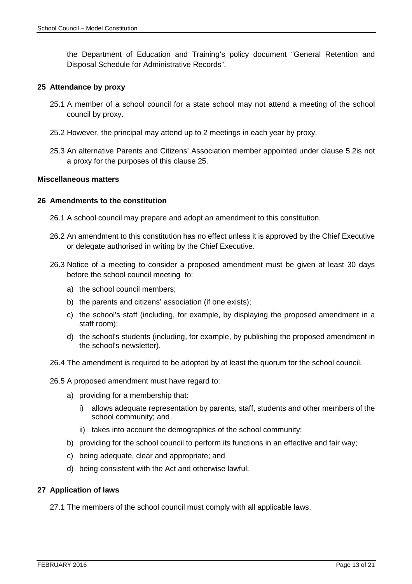the Department of Education and Training's policy document "General Retention and Disposal Schedule for Administrative Records".

#### **25 Attendance by proxy**

- 25.1 A member of a school council for a state school may not attend a meeting of the school council by proxy.
- 25.2 However, the principal may attend up to 2 meetings in each year by proxy.
- 25.3 An alternative Parents and Citizens' Association member appointed under clause 5.2is not a proxy for the purposes of this clause 25.

#### **Miscellaneous matters**

#### **26 Amendments to the constitution**

- 26.1 A school council may prepare and adopt an amendment to this constitution.
- 26.2 An amendment to this constitution has no effect unless it is approved by the Chief Executive or delegate authorised in writing by the Chief Executive.
- 26.3 Notice of a meeting to consider a proposed amendment must be given at least 30 days before the school council meeting to:
	- a) the school council members;
	- b) the parents and citizens' association (if one exists);
	- c) the school's staff (including, for example, by displaying the proposed amendment in a staff room);
	- d) the school's students (including, for example, by publishing the proposed amendment in the school's newsletter).
- 26.4 The amendment is required to be adopted by at least the quorum for the school council.
- 26.5 A proposed amendment must have regard to:
	- a) providing for a membership that:
		- i) allows adequate representation by parents, staff, students and other members of the school community; and
		- ii) takes into account the demographics of the school community;
	- b) providing for the school council to perform its functions in an effective and fair way;
	- c) being adequate, clear and appropriate; and
	- d) being consistent with the Act and otherwise lawful.

#### **27 Application of laws**

27.1 The members of the school council must comply with all applicable laws.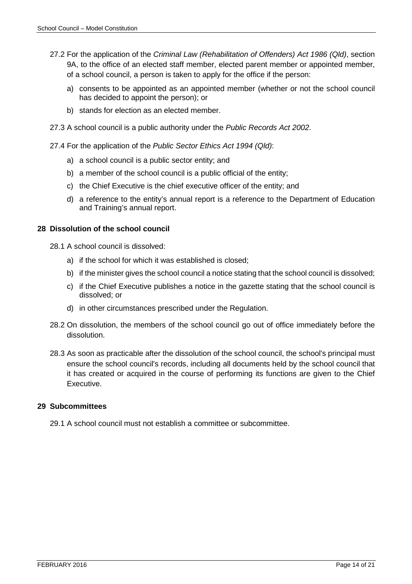- 27.2 For the application of the Criminal Law (Rehabilitation of Offenders) Act 1986 (Qld), section 9A, to the office of an elected staff member, elected parent member or appointed member, of a school council, a person is taken to apply for the office if the person:
	- a) consents to be appointed as an appointed member (whether or not the school council has decided to appoint the person); or
	- b) stands for election as an elected member.
- 27.3 A school council is a public authority under the Public Records Act 2002.

27.4 For the application of the Public Sector Ethics Act 1994 (Qld):

- a) a school council is a public sector entity; and
- b) a member of the school council is a public official of the entity;
- c) the Chief Executive is the chief executive officer of the entity; and
- d) a reference to the entity's annual report is a reference to the Department of Education and Training's annual report.

#### **28 Dissolution of the school council**

- 28.1 A school council is dissolved:
	- a) if the school for which it was established is closed;
	- b) if the minister gives the school council a notice stating that the school council is dissolved;
	- c) if the Chief Executive publishes a notice in the gazette stating that the school council is dissolved; or
	- d) in other circumstances prescribed under the Regulation.
- 28.2 On dissolution, the members of the school council go out of office immediately before the dissolution.
- 28.3 As soon as practicable after the dissolution of the school council, the school's principal must ensure the school council's records, including all documents held by the school council that it has created or acquired in the course of performing its functions are given to the Chief Executive.

#### **29 Subcommittees**

29.1 A school council must not establish a committee or subcommittee.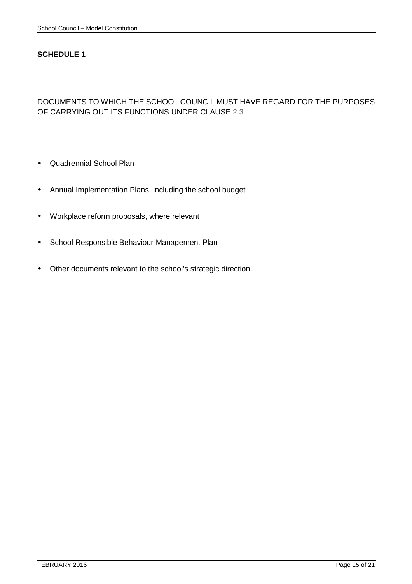# DOCUMENTS TO WHICH THE SCHOOL COUNCIL MUST HAVE REGARD FOR THE PURPOSES OF CARRYING OUT ITS FUNCTIONS UNDER CLAUSE 2.3

- Quadrennial School Plan
- Annual Implementation Plans, including the school budget
- Workplace reform proposals, where relevant
- School Responsible Behaviour Management Plan
- Other documents relevant to the school's strategic direction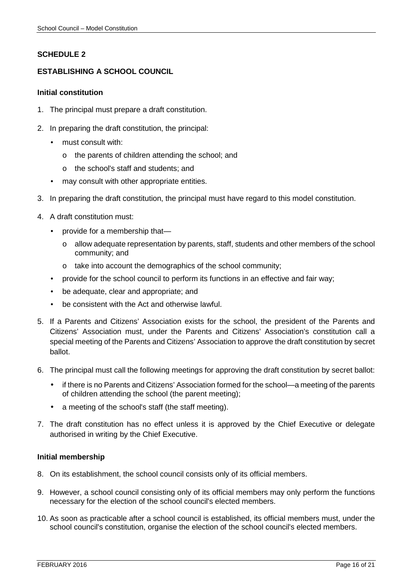# **SCHEDULE 2–**

# **ESTABLISHING A SCHOOL COUNCIL**

#### **Initial constitution**

- 1. The principal must prepare a draft constitution.
- 2. In preparing the draft constitution, the principal:
	- must consult with:
		- o the parents of children attending the school; and
		- o the school's staff and students; and
	- may consult with other appropriate entities.
- 3. In preparing the draft constitution, the principal must have regard to this model constitution.
- 4. A draft constitution must:
	- provide for a membership that
		- o allow adequate representation by parents, staff, students and other members of the school community; and
		- o take into account the demographics of the school community;
	- provide for the school council to perform its functions in an effective and fair way;
	- be adequate, clear and appropriate; and
	- be consistent with the Act and otherwise lawful.
- 5. If a Parents and Citizens' Association exists for the school, the president of the Parents and Citizens' Association must, under the Parents and Citizens' Association's constitution call a special meeting of the Parents and Citizens' Association to approve the draft constitution by secret ballot.
- 6. The principal must call the following meetings for approving the draft constitution by secret ballot:
	- if there is no Parents and Citizens' Association formed for the school—a meeting of the parents of children attending the school (the parent meeting);
	- a meeting of the school's staff (the staff meeting).
- 7. The draft constitution has no effect unless it is approved by the Chief Executive or delegate authorised in writing by the Chief Executive.

#### **Initial membership**

- 8. On its establishment, the school council consists only of its official members.
- 9. However, a school council consisting only of its official members may only perform the functions necessary for the election of the school council's elected members.
- 10. As soon as practicable after a school council is established, its official members must, under the school council's constitution, organise the election of the school council's elected members.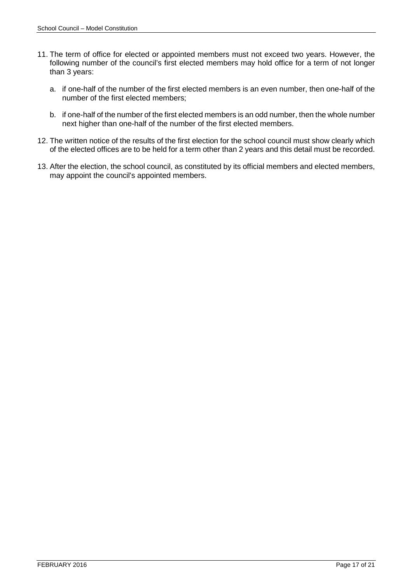- 11. The term of office for elected or appointed members must not exceed two years. However, the following number of the council's first elected members may hold office for a term of not longer than 3 years:
	- a. if one-half of the number of the first elected members is an even number, then one-half of the number of the first elected members;
	- b. if one-half of the number of the first elected members is an odd number, then the whole number next higher than one-half of the number of the first elected members.
- 12. The written notice of the results of the first election for the school council must show clearly which of the elected offices are to be held for a term other than 2 years and this detail must be recorded.
- 13. After the election, the school council, as constituted by its official members and elected members, may appoint the council's appointed members.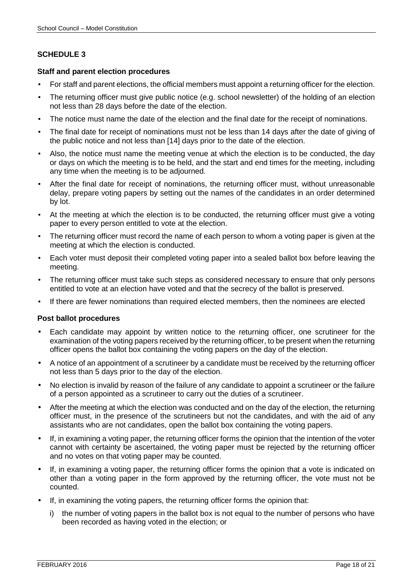#### **Staff and parent election procedures**

- For staff and parent elections, the official members must appoint a returning officer for the election.
- The returning officer must give public notice (e.g. school newsletter) of the holding of an election not less than 28 days before the date of the election.
- The notice must name the date of the election and the final date for the receipt of nominations.
- The final date for receipt of nominations must not be less than 14 days after the date of giving of the public notice and not less than [14] days prior to the date of the election.
- Also, the notice must name the meeting venue at which the election is to be conducted, the day or days on which the meeting is to be held, and the start and end times for the meeting, including any time when the meeting is to be adjourned.
- After the final date for receipt of nominations, the returning officer must, without unreasonable delay, prepare voting papers by setting out the names of the candidates in an order determined by lot.
- At the meeting at which the election is to be conducted, the returning officer must give a voting paper to every person entitled to vote at the election.
- The returning officer must record the name of each person to whom a voting paper is given at the meeting at which the election is conducted.
- Each voter must deposit their completed voting paper into a sealed ballot box before leaving the meeting.
- The returning officer must take such steps as considered necessary to ensure that only persons entitled to vote at an election have voted and that the secrecy of the ballot is preserved.
- If there are fewer nominations than required elected members, then the nominees are elected

#### **Post ballot procedures**

- Each candidate may appoint by written notice to the returning officer, one scrutineer for the examination of the voting papers received by the returning officer, to be present when the returning officer opens the ballot box containing the voting papers on the day of the election.
- A notice of an appointment of a scrutineer by a candidate must be received by the returning officer not less than 5 days prior to the day of the election.
- No election is invalid by reason of the failure of any candidate to appoint a scrutineer or the failure of a person appointed as a scrutineer to carry out the duties of a scrutineer.
- After the meeting at which the election was conducted and on the day of the election, the returning officer must, in the presence of the scrutineers but not the candidates, and with the aid of any assistants who are not candidates, open the ballot box containing the voting papers.
- If, in examining a voting paper, the returning officer forms the opinion that the intention of the voter cannot with certainty be ascertained, the voting paper must be rejected by the returning officer and no votes on that voting paper may be counted.
- If, in examining a voting paper, the returning officer forms the opinion that a vote is indicated on other than a voting paper in the form approved by the returning officer, the vote must not be counted.
- If, in examining the voting papers, the returning officer forms the opinion that:
	- i) the number of voting papers in the ballot box is not equal to the number of persons who have been recorded as having voted in the election; or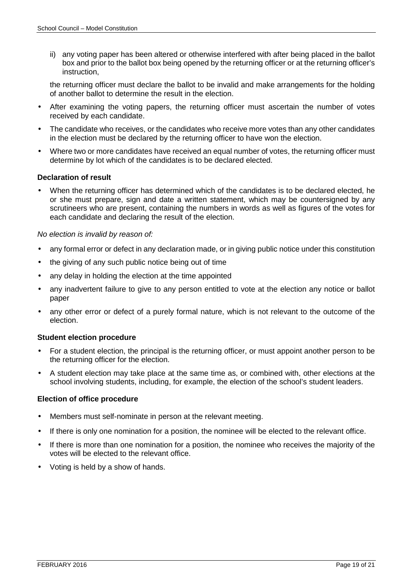ii) any voting paper has been altered or otherwise interfered with after being placed in the ballot box and prior to the ballot box being opened by the returning officer or at the returning officer's instruction,

the returning officer must declare the ballot to be invalid and make arrangements for the holding of another ballot to determine the result in the election.

- After examining the voting papers, the returning officer must ascertain the number of votes received by each candidate.
- The candidate who receives, or the candidates who receive more votes than any other candidates in the election must be declared by the returning officer to have won the election.
- Where two or more candidates have received an equal number of votes, the returning officer must determine by lot which of the candidates is to be declared elected.

#### **Declaration of result**

• When the returning officer has determined which of the candidates is to be declared elected, he or she must prepare, sign and date a written statement, which may be countersigned by any scrutineers who are present, containing the numbers in words as well as figures of the votes for each candidate and declaring the result of the election.

#### No election is invalid by reason of:

- any formal error or defect in any declaration made, or in giving public notice under this constitution
- the giving of any such public notice being out of time
- any delay in holding the election at the time appointed
- any inadvertent failure to give to any person entitled to vote at the election any notice or ballot paper
- any other error or defect of a purely formal nature, which is not relevant to the outcome of the election.

#### **Student election procedure**

- For a student election, the principal is the returning officer, or must appoint another person to be the returning officer for the election.
- A student election may take place at the same time as, or combined with, other elections at the school involving students, including, for example, the election of the school's student leaders.

#### **Election of office procedure**

- Members must self-nominate in person at the relevant meeting.
- If there is only one nomination for a position, the nominee will be elected to the relevant office.
- If there is more than one nomination for a position, the nominee who receives the majority of the votes will be elected to the relevant office.
- Voting is held by a show of hands.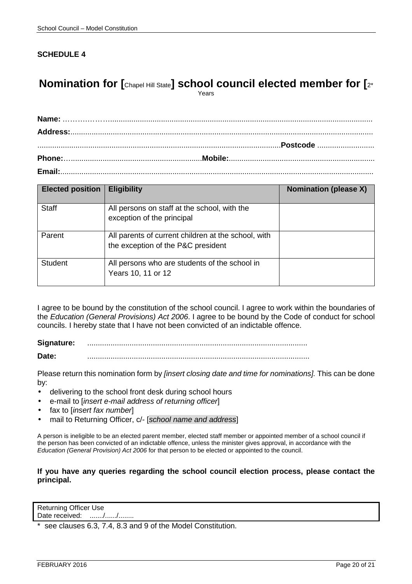# **Nomination for [Chapel Hill State] school council elected member for [2\***

Years

**Email:**....................................................................................................................................................

| <b>Elected position</b> | <b>Eligibility</b>                                                                        | <b>Nomination (please X)</b> |
|-------------------------|-------------------------------------------------------------------------------------------|------------------------------|
| <b>Staff</b>            | All persons on staff at the school, with the<br>exception of the principal                |                              |
| Parent                  | All parents of current children at the school, with<br>the exception of the P&C president |                              |
| <b>Student</b>          | All persons who are students of the school in<br>Years 10, 11 or 12                       |                              |

I agree to be bound by the constitution of the school council. I agree to work within the boundaries of the Education (General Provisions) Act 2006. I agree to be bound by the Code of conduct for school councils. I hereby state that I have not been convicted of an indictable offence.

Signature: **Date:** .........................................................................................................

Please return this nomination form by [insert closing date and time for nominations]. This can be done by:

- delivering to the school front desk during school hours
- e-mail to linsert e-mail address of returning officer
- fax to [insert fax number]
- mail to Returning Officer, c/- [school name and address]

A person is ineligible to be an elected parent member, elected staff member or appointed member of a school council if the person has been convicted of an indictable offence, unless the minister gives approval, in accordance with the Education (General Provision) Act 2006 for that person to be elected or appointed to the council.

#### **If you have any queries regarding the school council election process, please contact the principal.**

Returning Officer Use Date received: ......./....../........

see clauses 6.3, 7.4, 8.3 and 9 of the Model Constitution.